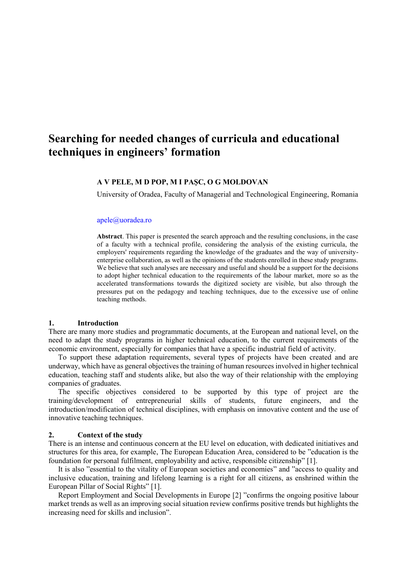# **Searching for needed changes of curricula and educational techniques in engineers' formation**

#### **A V PELE, M D POP, M I PAȘC, O G MOLDOVAN**

University of Oradea, Faculty of Managerial and Technological Engineering, Romania

#### [apele@uoradea.ro](mailto:apele@uoradea.ro)

**Abstract**. This paper is presented the search approach and the resulting conclusions, in the case of a faculty with a technical profile, considering the analysis of the existing curricula, the employers' requirements regarding the knowledge of the graduates and the way of universityenterprise collaboration, as well as the opinions of the students enrolled in these study programs. We believe that such analyses are necessary and useful and should be a support for the decisions to adopt higher technical education to the requirements of the labour market, more so as the accelerated transformations towards the digitized society are visible, but also through the pressures put on the pedagogy and teaching techniques, due to the excessive use of online teaching methods.

#### **1. Introduction**

There are many more studies and programmatic documents, at the European and national level, on the need to adapt the study programs in higher technical education, to the current requirements of the economic environment, especially for companies that have a specific industrial field of activity.

To support these adaptation requirements, several types of projects have been created and are underway, which have as general objectives the training of human resources involved in higher technical education, teaching staff and students alike, but also the way of their relationship with the employing companies of graduates.

The specific objectives considered to be supported by this type of project are the training/development of entrepreneurial skills of students, future engineers, and the introduction/modification of technical disciplines, with emphasis on innovative content and the use of innovative teaching techniques.

#### **2. Context of the study**

There is an intense and continuous concern at the EU level on education, with dedicated initiatives and structures for this area, for example, The European Education Area, considered to be "education is the foundation for personal fulfilment, employability and active, responsible citizenship" [1].

It is also "essential to the vitality of European societies and economies" and "access to quality and inclusive education, training and lifelong learning is a right for all citizens, as enshrined within the European Pillar of Social Rights" [1].

Report Employment and Social Developments in Europe [2] "confirms the ongoing positive labour market trends as well as an improving social situation review confirms positive trends but highlights the increasing need for skills and inclusion".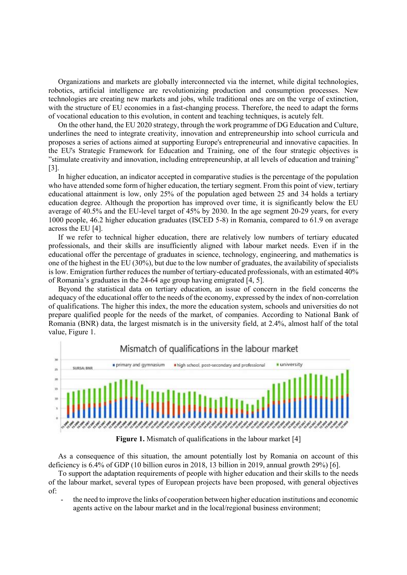Organizations and markets are globally interconnected via the internet, while digital technologies, robotics, artificial intelligence are revolutionizing production and consumption processes. New technologies are creating new markets and jobs, while traditional ones are on the verge of extinction, with the structure of EU economies in a fast-changing process. Therefore, the need to adapt the forms of vocational education to this evolution, in content and teaching techniques, is acutely felt.

On the other hand, the EU 2020 strategy, through the work programme of DG Education and Culture, underlines the need to integrate creativity, innovation and entrepreneurship into school curricula and proposes a series of actions aimed at supporting Europe's entrepreneurial and innovative capacities. In the EU's Strategic Framework for Education and Training, one of the four strategic objectives is "stimulate creativity and innovation, including entrepreneurship, at all levels of education and training" [3].

In higher education, an indicator accepted in comparative studies is the percentage of the population who have attended some form of higher education, the tertiary segment. From this point of view, tertiary educational attainment is low, only 25% of the population aged between 25 and 34 holds a tertiary education degree. Although the proportion has improved over time, it is significantly below the EU average of 40.5% and the EU-level target of 45% by 2030. In the age segment 20-29 years, for every 1000 people, 46.2 higher education graduates (ISCED 5-8) in Romania, compared to 61.9 on average across the EU [4].

If we refer to technical higher education, there are relatively low numbers of tertiary educated professionals, and their skills are insufficiently aligned with labour market needs. Even if in the educational offer the percentage of graduates in science, technology, engineering, and mathematics is one of the highest in the EU (30%), but due to the low number of graduates, the availability of specialists is low. Emigration further reduces the number of tertiary-educated professionals, with an estimated 40% of Romania's graduates in the 24-64 age group having emigrated [4, 5].

Beyond the statistical data on tertiary education, an issue of concern in the field concerns the adequacy of the educational offer to the needs of the economy, expressed by the index of non-correlation of qualifications. The higher this index, the more the education system, schools and universities do not prepare qualified people for the needs of the market, of companies. According to National Bank of Romania (BNR) data, the largest mismatch is in the university field, at 2.4%, almost half of the total value, Figure 1.



**Figure 1.** Mismatch of qualifications in the labour market [4]

As a consequence of this situation, the amount potentially lost by Romania on account of this deficiency is 6.4% of GDP (10 billion euros in 2018, 13 billion in 2019, annual growth 29%) [6].

To support the adaptation requirements of people with higher education and their skills to the needs of the labour market, several types of European projects have been proposed, with general objectives of:

- the need to improve the links of cooperation between higher education institutions and economic agents active on the labour market and in the local/regional business environment;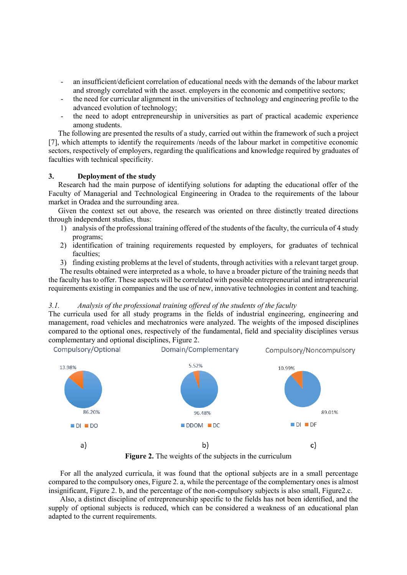- an insufficient/deficient correlation of educational needs with the demands of the labour market and strongly correlated with the asset. employers in the economic and competitive sectors;
- the need for curricular alignment in the universities of technology and engineering profile to the advanced evolution of technology;
- the need to adopt entrepreneurship in universities as part of practical academic experience among students.

The following are presented the results of a study, carried out within the framework of such a project [7], which attempts to identify the requirements /needs of the labour market in competitive economic sectors, respectively of employers, regarding the qualifications and knowledge required by graduates of faculties with technical specificity.

#### **3. Deployment of the study**

Research had the main purpose of identifying solutions for adapting the educational offer of the Faculty of Managerial and Technological Engineering in Oradea to the requirements of the labour market in Oradea and the surrounding area.

Given the context set out above, the research was oriented on three distinctly treated directions through independent studies, thus:

- 1) analysis of the professional training offered of the students of the faculty, the curricula of 4 study programs;
- 2) identification of training requirements requested by employers, for graduates of technical faculties;
- 3) finding existing problems at the level of students, through activities with a relevant target group.

The results obtained were interpreted as a whole, to have a broader picture of the training needs that the faculty has to offer. These aspects will be correlated with possible entrepreneurial and intrapreneurial requirements existing in companies and the use of new, innovative technologies in content and teaching.

#### *3.1. Analysis of the professional training offered of the students of the faculty*

The curricula used for all study programs in the fields of industrial engineering, engineering and management, road vehicles and mechatronics were analyzed. The weights of the imposed disciplines compared to the optional ones, respectively of the fundamental, field and speciality disciplines versus complementary and optional disciplines, Figure 2.



**Figure 2.** The weights of the subjects in the curriculum

For all the analyzed curricula, it was found that the optional subjects are in a small percentage compared to the compulsory ones, Figure 2. a, while the percentage of the complementary ones is almost insignificant, Figure 2. b, and the percentage of the non-compulsory subjects is also small, Figure2.c.

Also, a distinct discipline of entrepreneurship specific to the fields has not been identified, and the supply of optional subjects is reduced, which can be considered a weakness of an educational plan adapted to the current requirements.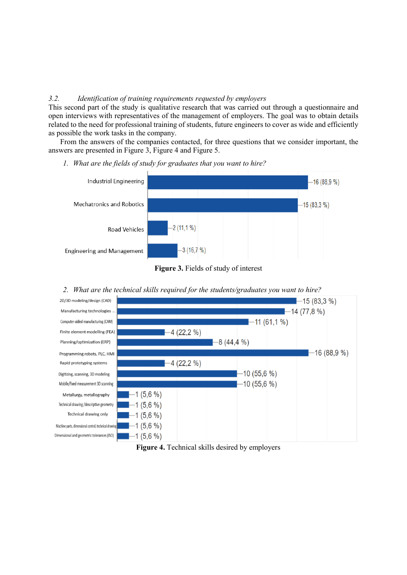### *3.2. Identification of training requirements requested by employers*

This second part of the study is qualitative research that was carried out through a questionnaire and open interviews with representatives of the management of employers. The goal was to obtain details related to the need for professional training of students, future engineers to cover as wide and efficiently as possible the work tasks in the company.

From the answers of the companies contacted, for three questions that we consider important, the answers are presented in Figure 3, Figure 4 and Figure 5.

*1. What are the fields of study for graduates that you want to hire?*



**Figure 3.** Fields of study of interest





**Figure 4.** Technical skills desired by employers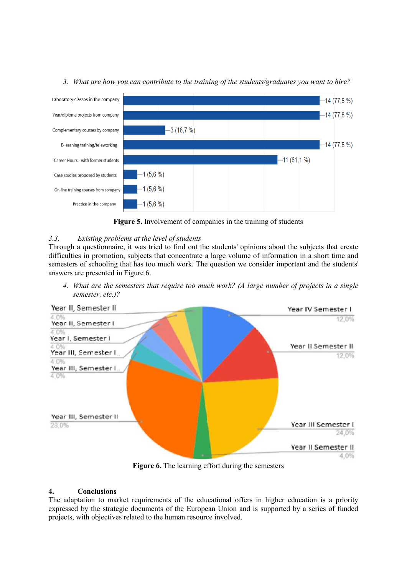

## *3. What are how you can contribute to the training of the students/graduates you want to hire?*



## *3.3. Existing problems at the level of students*

Through a questionnaire, it was tried to find out the students' opinions about the subjects that create difficulties in promotion, subjects that concentrate a large volume of information in a short time and semesters of schooling that has too much work. The question we consider important and the students' answers are presented in Figure 6.

*4. What are the semesters that require too much work? (A large number of projects in a single semester, etc.)?*



**Figure 6.** The learning effort during the semesters

## **4. Conclusions**

The adaptation to market requirements of the educational offers in higher education is a priority expressed by the strategic documents of the European Union and is supported by a series of funded projects, with objectives related to the human resource involved.